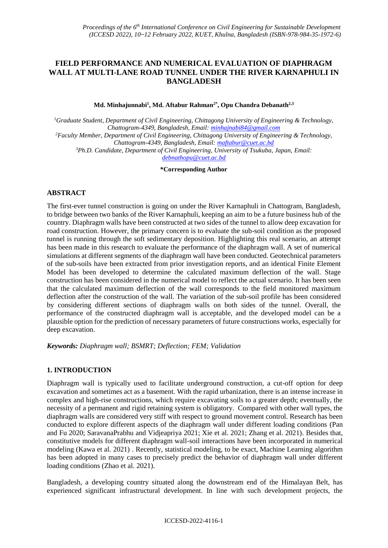# **FIELD PERFORMANCE AND NUMERICAL EVALUATION OF DIAPHRAGM WALL AT MULTI-LANE ROAD TUNNEL UNDER THE RIVER KARNAPHULI IN BANGLADESH**

**Md. Minhajunnabi<sup>1</sup> , Md. Aftabur Rahman2\*, Opu Chandra Debanath2,3**

*<sup>1</sup>Graduate Student, Department of Civil Engineering, Chittagong University of Engineering & Technology, Chattogram-4349, Bangladesh, Email: minhajnabi84@gmail.com <sup>2</sup>Faculty Member, Department of Civil Engineering, Chittagong University of Engineering & Technology, Chattogram-4349, Bangladesh, Email: maftabur@cuet.ac.bd <sup>3</sup>Ph.D. Candidate, Department of Civil Engineering, University of Tsukuba, Japan, Email: [debnathopu@cuet.ac.bd](mailto:debnathopu@cuet.ac.bd)*

**\*Corresponding Author**

## **ABSTRACT**

The first-ever tunnel construction is going on under the River Karnaphuli in Chattogram, Bangladesh, to bridge between two banks of the River Karnaphuli, keeping an aim to be a future business hub of the country. Diaphragm walls have been constructed at two sides of the tunnel to allow deep excavation for road construction. However, the primary concern is to evaluate the sub-soil condition as the proposed tunnel is running through the soft sedimentary deposition. Highlighting this real scenario, an attempt has been made in this research to evaluate the performance of the diaphragm wall. A set of numerical simulations at different segments of the diaphragm wall have been conducted. Geotechnical parameters of the sub-soils have been extracted from prior investigation reports, and an identical Finite Element Model has been developed to determine the calculated maximum deflection of the wall. Stage construction has been considered in the numerical model to reflect the actual scenario. It has been seen that the calculated maximum deflection of the wall corresponds to the field monitored maximum deflection after the construction of the wall. The variation of the sub-soil profile has been considered by considering different sections of diaphragm walls on both sides of the tunnel. Overall, the performance of the constructed diaphragm wall is acceptable, and the developed model can be a plausible option for the prediction of necessary parameters of future constructions works, especially for deep excavation.

*Keywords: Diaphragm wall; BSMRT; Deflection; FEM; Validation*

## **1. INTRODUCTION**

Diaphragm wall is typically used to facilitate underground construction, a cut-off option for deep excavation and sometimes act as a basement. With the rapid urbanization, there is an intense increase in complex and high-rise constructions, which require excavating soils to a greater depth; eventually, the necessity of a permanent and rigid retaining system is obligatory. Compared with other wall types, the diaphragm walls are considered very stiff with respect to ground movement control. Research has been conducted to explore different aspects of the diaphragm wall under different loading conditions (Pan and Fu 2020; SaravanaPrabhu and Vidjeapriya 2021; Xie et al. 2021; Zhang et al. 2021). Besides that, constitutive models for different diaphragm wall-soil interactions have been incorporated in numerical modeling (Kawa et al. 2021) . Recently, statistical modeling, to be exact, Machine Learning algorithm has been adopted in many cases to precisely predict the behavior of diaphragm wall under different loading conditions (Zhao et al. 2021).

Bangladesh, a developing country situated along the downstream end of the Himalayan Belt, has experienced significant infrastructural development. In line with such development projects, the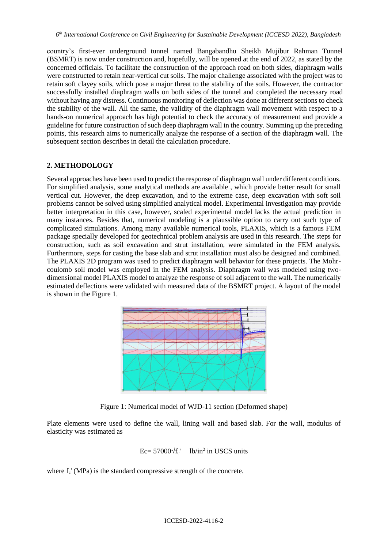country's first-ever underground tunnel named Bangabandhu Sheikh Mujibur Rahman Tunnel (BSMRT) is now under construction and, hopefully, will be opened at the end of 2022, as stated by the concerned officials. To facilitate the construction of the approach road on both sides, diaphragm walls were constructed to retain near-vertical cut soils. The major challenge associated with the project was to retain soft clayey soils, which pose a major threat to the stability of the soils. However, the contractor successfully installed diaphragm walls on both sides of the tunnel and completed the necessary road without having any distress. Continuous monitoring of deflection was done at different sections to check the stability of the wall. All the same, the validity of the diaphragm wall movement with respect to a hands-on numerical approach has high potential to check the accuracy of measurement and provide a guideline for future construction of such deep diaphragm wall in the country. Summing up the preceding points, this research aims to numerically analyze the response of a section of the diaphragm wall. The subsequent section describes in detail the calculation procedure.

## **2. METHODOLOGY**

Several approaches have been used to predict the response of diaphragm wall under different conditions. For simplified analysis, some analytical methods are available , which provide better result for small vertical cut. However, the deep excavation, and to the extreme case, deep excavation with soft soil problems cannot be solved using simplified analytical model. Experimental investigation may provide better interpretation in this case, however, scaled experimental model lacks the actual prediction in many instances. Besides that, numerical modeling is a plaussible option to carry out such type of complicated simulations. Among many available numerical tools, PLAXIS, which is a famous FEM package specially developed for geotechnical problem analysis are used in this research. The steps for construction, such as soil excavation and strut installation, were simulated in the FEM analysis. Furthermore, steps for casting the base slab and strut installation must also be designed and combined. The PLAXIS 2D program was used to predict diaphragm wall behavior for these projects. The Mohrcoulomb soil model was employed in the FEM analysis. Diaphragm wall was modeled using twodimensional model PLAXIS model to analyze the response of soil adjacent to the wall. The numerically estimated deflections were validated with measured data of the BSMRT project. A layout of the model is shown in the Figure 1.



Figure 1: Numerical model of WJD-11 section (Deformed shape)

Plate elements were used to define the wall, lining wall and based slab. For the wall, modulus of elasticity was estimated as

$$
Ec = 57000 \sqrt{f_c'}
$$
 lb/in<sup>2</sup> in USCS units

where  $f_c'$  (MPa) is the standard compressive strength of the concrete.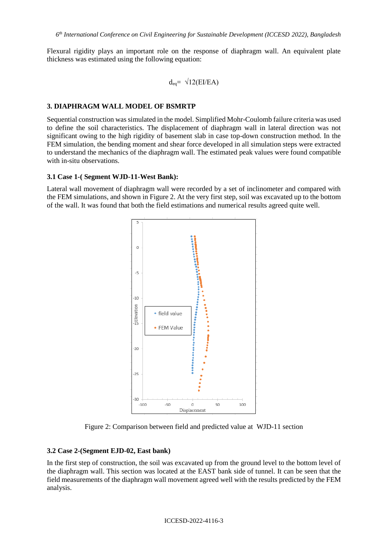Flexural rigidity plays an important role on the response of diaphragm wall. An equivalent plate thickness was estimated using the following equation:

$$
d_{eq} = \sqrt{12(E1/EA)}
$$

### **3. DIAPHRAGM WALL MODEL OF BSMRTP**

Sequential construction was simulated in the model. Simplified Mohr-Coulomb failure criteria was used to define the soil characteristics. The displacement of diaphragm wall in lateral direction was not significant owing to the high rigidity of basement slab in case top-down construction method. In the FEM simulation, the bending moment and shear force developed in all simulation steps were extracted to understand the mechanics of the diaphragm wall. The estimated peak values were found compatible with in-situ observations.

#### **3.1 Case 1-( Segment WJD-11-West Bank):**

Lateral wall movement of diaphragm wall were recorded by a set of inclinometer and compared with the FEM simulations, and shown in Figure 2. At the very first step, soil was excavated up to the bottom of the wall. It was found that both the field estimations and numerical results agreed quite well.



Figure 2: Comparison between field and predicted value at WJD-11 section

#### **3.2 Case 2-(Segment EJD-02, East bank)**

In the first step of construction, the soil was excavated up from the ground level to the bottom level of the diaphragm wall. This section was located at the EAST bank side of tunnel. It can be seen that the field measurements of the diaphragm wall movement agreed well with the results predicted by the FEM analysis.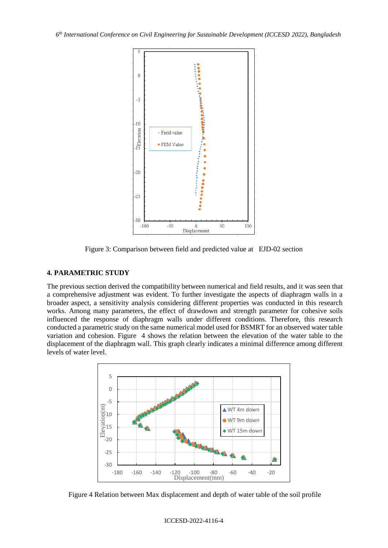

Figure 3: Comparison between field and predicted value at EJD-02 section

## **4. PARAMETRIC STUDY**

The previous section derived the compatibility between numerical and field results, and it was seen that a comprehensive adjustment was evident. To further investigate the aspects of diaphragm walls in a broader aspect, a sensitivity analysis considering different properties was conducted in this research works. Among many parameters, the effect of drawdown and strength parameter for cohesive soils influenced the response of diaphragm walls under different conditions. Therefore, this research conducted a parametric study on the same numerical model used for BSMRT for an observed water table variation and cohesion. Figure 4 shows the relation between the elevation of the water table to the displacement of the diaphragm wall. This graph clearly indicates a minimal difference among different levels of water level.



Figure 4 Relation between Max displacement and depth of water table of the soil profile

#### ICCESD-2022-4116-4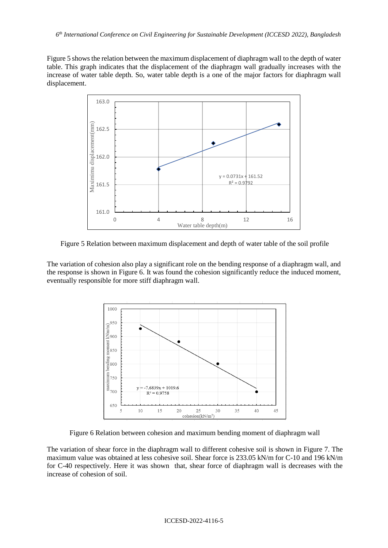Figure 5 shows the relation between the maximum displacement of diaphragm wall to the depth of water table. This graph indicates that the displacement of the diaphragm wall gradually increases with the increase of water table depth. So, water table depth is a one of the major factors for diaphragm wall displacement.



Figure 5 Relation between maximum displacement and depth of water table of the soil profile

The variation of cohesion also play a significant role on the bending response of a diaphragm wall, and the response is shown in Figure 6. It was found the cohesion significantly reduce the induced moment, eventually responsible for more stiff diaphragm wall.



Figure 6 Relation between cohesion and maximum bending moment of diaphragm wall

The variation of shear force in the diaphragm wall to different cohesive soil is shown in Figure 7. The maximum value was obtained at less cohesive soil. Shear force is 233.05 kN/m for C-10 and 196 kN/m for C-40 respectively. Here it was shown that, shear force of diaphragm wall is decreases with the increase of cohesion of soil.